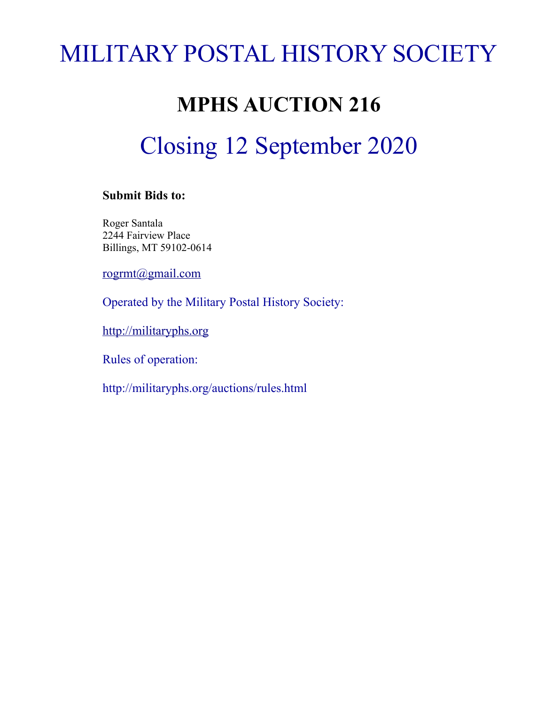# MILITARY POSTAL HISTORY SOCIETY

# **MPHS AUCTION 216**

# Closing 12 September 2020

# **Submit Bids to:**

Roger Santala 2244 Fairview Place Billings, MT 59102-0614

[rogrmt@gmail.com](mailto:rogrmt@gmail.com)

Operated by the Military Postal History Society:

[http://militaryphs.org](http://militaryphs.org/)

Rules of operation:

http://militaryphs.org/auctions/rules.html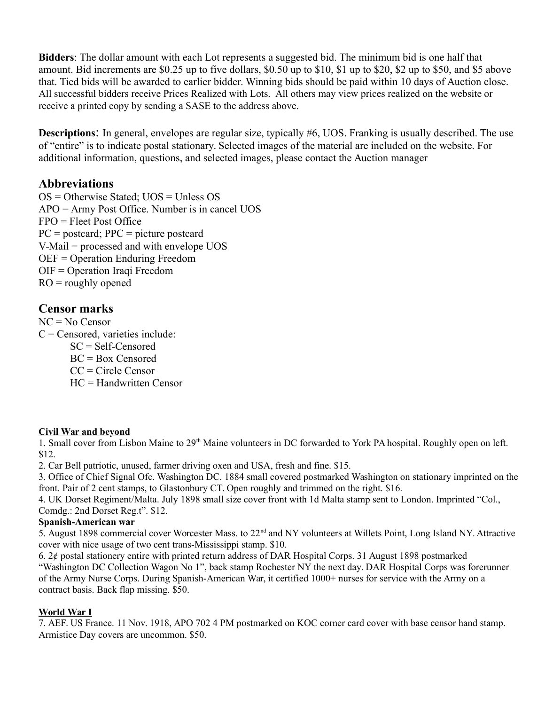**Bidders**: The dollar amount with each Lot represents a suggested bid. The minimum bid is one half that amount. Bid increments are \$0.25 up to five dollars, \$0.50 up to \$10, \$1 up to \$20, \$2 up to \$50, and \$5 above that. Tied bids will be awarded to earlier bidder. Winning bids should be paid within 10 days of Auction close. All successful bidders receive Prices Realized with Lots. All others may view prices realized on the website or receive a printed copy by sending a SASE to the address above.

**Descriptions**: In general, envelopes are regular size, typically #6, UOS. Franking is usually described. The use of "entire" is to indicate postal stationary. Selected images of the material are included on the website. For additional information, questions, and selected images, please contact the Auction manager

# **Abbreviations**

 $OS =$  Otherwise Stated: UOS = Unless OS APO = Army Post Office. Number is in cancel UOS FPO = Fleet Post Office  $PC = postcard$ ;  $PPC = picture postcard$ V-Mail = processed and with envelope UOS OEF = Operation Enduring Freedom OIF = Operation Iraqi Freedom  $RO = roughly$  opened

# **Censor marks**

NC = No Censor

 $C =$ Censored, varieties include:

- SC = Self-Censored BC = Box Censored
- CC = Circle Censor
- HC = Handwritten Censor

# **Civil War and beyond**

1. Small cover from Lisbon Maine to 29<sup>th</sup> Maine volunteers in DC forwarded to York PA hospital. Roughly open on left. \$12.

2. Car Bell patriotic, unused, farmer driving oxen and USA, fresh and fine. \$15.

3. Office of Chief Signal Ofc. Washington DC. 1884 small covered postmarked Washington on stationary imprinted on the front. Pair of 2 cent stamps, to Glastonbury CT. Open roughly and trimmed on the right. \$16.

4. UK Dorset Regiment/Malta. July 1898 small size cover front with 1d Malta stamp sent to London. Imprinted "Col., Comdg.: 2nd Dorset Reg.t". \$12.

# **Spanish-American war**

5. August 1898 commercial cover Worcester Mass. to 22nd and NY volunteers at Willets Point, Long Island NY. Attractive cover with nice usage of two cent trans-Mississippi stamp. \$10.

6. 2¢ postal stationery entire with printed return address of DAR Hospital Corps. 31 August 1898 postmarked "Washington DC Collection Wagon No 1", back stamp Rochester NY the next day. DAR Hospital Corps was forerunner of the Army Nurse Corps. During Spanish-American War, it certified 1000+ nurses for service with the Army on a contract basis. Back flap missing. \$50.

# **World War I**

7. AEF. US France. 11 Nov. 1918, APO 702 4 PM postmarked on KOC corner card cover with base censor hand stamp. Armistice Day covers are uncommon. \$50.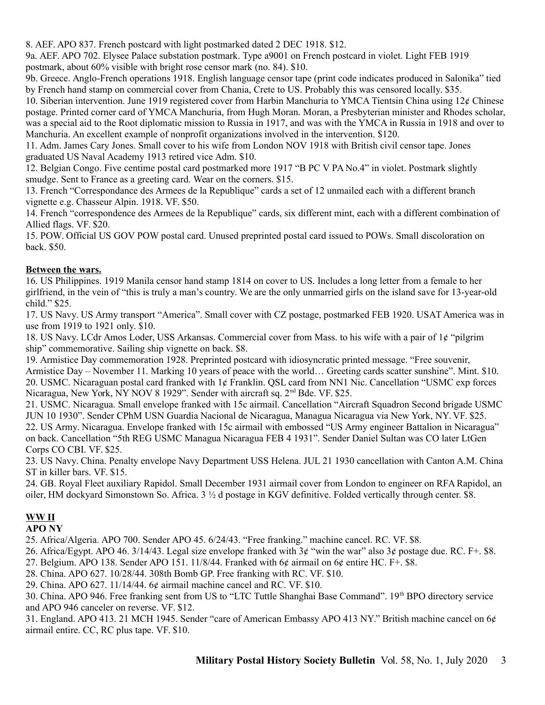8. AEF. APO 837. French postcard with light postmarked dated 2 DEC 1918. \$12.

9a. AEF. APO 702. Elysee Palace substation postmark. Type a9001 on French postcard in violet. Light FEB 1919 postmark, about 60% visible with bright rose censor mark (no. 84). \$10.

9b. Greece. Anglo-French operations 1918. English language censor tape (print code indicates produced in Salonika" tied by French hand stamp on commercial cover from Chania, Crete to US. Probably this was censored locally. \$35.

10. Siberian intervention. June 1919 registered cover from Harbin Manchuria to YMCA Tientsin China using 12¢ Chinese postage. Printed corner card of YMCA Manchuria, from Hugh Moran. Moran, a Presbyterian minister and Rhodes scholar, was a special aid to the Root diplomatic mission to Russia in 1917, and was with the YMCA in Russia in 1918 and over to Manchuria. An excellent example of nonprofit organizations involved in the intervention. \$120.

11. Adm. James Cary Jones. Small cover to his wife from London NOV 1918 with British civil censor tape. Jones graduated US Naval Academy 1913 retired vice Adm. \$10.

12. Belgian Congo. Five centime postal card postmarked more 1917 "B PC V PA No.4" in violet. Postmark slightly smudge. Sent to France as a greeting card. Wear on the corners. \$15.

13. French "Correspondance des Armees de la Republique" cards a set of 12 unmailed each with a different branch vignette e.g. Chasseur Alpin. 1918. VF. \$50.

14. French "correspondence des Armees de la Republique" cards, six different mint, each with a different combination of Allied flags. VF. \$20.

15. POW. Official US GOV POW postal card. Unused preprinted postal card issued to POWs. Small discoloration on back. \$50.

#### **Between the wars.**

16. US Philippines. 1919 Manila censor hand stamp 1814 on cover to US. Includes a long letter from a female to her girlfriend, in the vein of "this is truly a man's country. We are the only unmarried girls on the island save for 13-year-old child." \$25.

17. US Navy. US Army transport "America". Small cover with CZ postage, postmarked FEB 1920. USAT America was in use from 1919 to 1921 only. \$10.

18. US Navy. LCdr Amos Loder, USS Arkansas. Commercial cover from Mass. to his wife with a pair of 1¢ "pilgrim ship" commemorative. Sailing ship vignette on back. \$8.

19. Armistice Day commemoration 1928. Preprinted postcard with idiosyncratic printed message. "Free souvenir, Armistice Day – November 11. Marking 10 years of peace with the world… Greeting cards scatter sunshine". Mint. \$10. 20. USMC. Nicaraguan postal card franked with 1¢ Franklin. QSL card from NN1 Nic. Cancellation "USMC exp forces Nicaragua, New York, NY NOV 8 1929". Sender with aircraft sq. 2<sup>nd</sup> Bde. VF. \$25.

21. USMC. Nicaragua. Small envelope franked with 15c airmail. Cancellation "Aircraft Squadron Second brigade USMC JUN 10 1930". Sender CPhM USN Guardia Nacional de Nicaragua, Managua Nicaragua via New York, NY. VF. \$25. 22. US Army. Nicaragua. Envelope franked with 15c airmail with embossed "US Army engineer Battalion in Nicaragua" on back. Cancellation "5th REG USMC Managua Nicaragua FEB 4 1931". Sender Daniel Sultan was CO later LtGen Corps CO CBI. VF. \$25.

23. US Navy. China. Penalty envelope Navy Department USS Helena. JUL 21 1930 cancellation with Canton A.M. China ST in killer bars. VF. \$15.

24. GB. Royal Fleet auxiliary Rapidol. Small December 1931 airmail cover from London to engineer on RFA Rapidol, an oiler, HM dockyard Simonstown So. Africa. 3 ½ d postage in KGV definitive. Folded vertically through center. \$8.

# **WW II**

#### **APO NY**

25. Africa/Algeria. APO 700. Sender APO 45. 6/24/43. "Free franking." machine cancel. RC. VF. \$8.

26. Africa/Egypt. APO 46. 3/14/43. Legal size envelope franked with 3¢ "win the war" also 3¢ postage due. RC. F+. \$8.

27. Belgium. APO 138. Sender APO 151. 11/8/44. Franked with  $6¢$  airmail on  $6¢$  entire HC. F+. \$8.

28. China. APO 627. 10/28/44. 308th Bomb GP. Free franking with RC. VF. \$10.

29. China. APO 627. 11/14/44. 6¢ airmail machine cancel and RC. VF. \$10.

30. China. APO 946. Free franking sent from US to "LTC Tuttle Shanghai Base Command". 19th BPO directory service and APO 946 canceler on reverse. VF. \$12.

31. England. APO 413. 21 MCH 1945. Sender "care of American Embassy APO 413 NY." British machine cancel on 6¢ airmail entire. CC, RC plus tape. VF. \$10.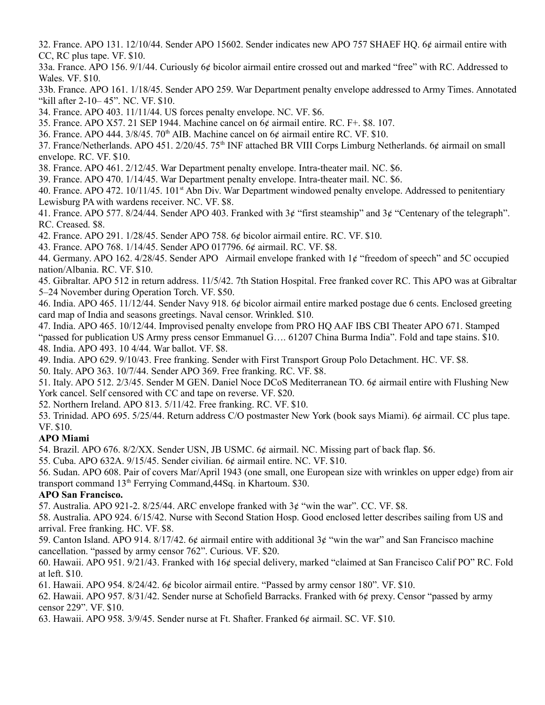32. France. APO 131. 12/10/44. Sender APO 15602. Sender indicates new APO 757 SHAEF HQ. 6¢ airmail entire with CC, RC plus tape. VF. \$10.

33a. France. APO 156. 9/1/44. Curiously 6¢ bicolor airmail entire crossed out and marked "free" with RC. Addressed to Wales. VF. \$10.

33b. France. APO 161. 1/18/45. Sender APO 259. War Department penalty envelope addressed to Army Times. Annotated "kill after 2-10– 45". NC. VF. \$10.

34. France. APO 403. 11/11/44. US forces penalty envelope. NC. VF. \$6.

35. France. APO X57. 21 SEP 1944. Machine cancel on 6¢ airmail entire. RC. F+. \$8. 107.

36. France. APO 444.  $3/8/45$ .  $70<sup>th</sup>$  AIB. Machine cancel on 6¢ airmail entire RC. VF. \$10.

37. France/Netherlands. APO 451. 2/20/45. 75<sup>th</sup> INF attached BR VIII Corps Limburg Netherlands. 6¢ airmail on small envelope. RC. VF. \$10.

38. France. APO 461. 2/12/45. War Department penalty envelope. Intra-theater mail. NC. \$6.

39. France. APO 470. 1/14/45. War Department penalty envelope. Intra-theater mail. NC. \$6.

40. France. APO 472. 10/11/45. 101<sup>st</sup> Abn Div. War Department windowed penalty envelope. Addressed to penitentiary Lewisburg PA with wardens receiver. NC. VF. \$8.

41. France. APO 577. 8/24/44. Sender APO 403. Franked with 3¢ "first steamship" and 3¢ "Centenary of the telegraph". RC. Creased. \$8.

42. France. APO 291. 1/28/45. Sender APO 758. 6¢ bicolor airmail entire. RC. VF. \$10.

43. France. APO 768. 1/14/45. Sender APO 017796. 6¢ airmail. RC. VF. \$8.

44. Germany. APO 162. 4/28/45. Sender APO Airmail envelope franked with 1¢ "freedom of speech" and 5C occupied nation/Albania. RC. VF. \$10.

45. Gibraltar. APO 512 in return address. 11/5/42. 7th Station Hospital. Free franked cover RC. This APO was at Gibraltar 5–24 November during Operation Torch. VF. \$50.

46. India. APO 465. 11/12/44. Sender Navy 918. 6¢ bicolor airmail entire marked postage due 6 cents. Enclosed greeting card map of India and seasons greetings. Naval censor. Wrinkled. \$10.

47. India. APO 465. 10/12/44. Improvised penalty envelope from PRO HQ AAF IBS CBI Theater APO 671. Stamped "passed for publication US Army press censor Emmanuel G…. 61207 China Burma India". Fold and tape stains. \$10. 48. India. APO 493. 10 4/44. War ballot. VF. \$8.

49. India. APO 629. 9/10/43. Free franking. Sender with First Transport Group Polo Detachment. HC. VF. \$8.

50. Italy. APO 363. 10/7/44. Sender APO 369. Free franking. RC. VF. \$8.

51. Italy. APO 512. 2/3/45. Sender M GEN. Daniel Noce DCoS Mediterranean TO. 6¢ airmail entire with Flushing New York cancel. Self censored with CC and tape on reverse. VF. \$20.

52. Northern Ireland. APO 813. 5/11/42. Free franking. RC. VF. \$10.

53. Trinidad. APO 695. 5/25/44. Return address C/O postmaster New York (book says Miami). 6¢ airmail. CC plus tape. VF. \$10.

#### **APO Miami**

54. Brazil. APO 676. 8/2/XX. Sender USN, JB USMC. 6¢ airmail. NC. Missing part of back flap. \$6.

55. Cuba. APO 632A. 9/15/45. Sender civilian. 6¢ airmail entire. NC. VF. \$10.

56. Sudan. APO 608. Pair of covers Mar/April 1943 (one small, one European size with wrinkles on upper edge) from air transport command 13th Ferrying Command,44Sq. in Khartoum. \$30.

#### **APO San Francisco.**

57. Australia. APO 921-2.  $8/25/44$ . ARC envelope franked with  $3¢$  "win the war". CC. VF. \$8.

58. Australia. APO 924. 6/15/42. Nurse with Second Station Hosp. Good enclosed letter describes sailing from US and arrival. Free franking. HC. VF. \$8.

59. Canton Island. APO 914. 8/17/42. 6¢ airmail entire with additional 3¢ "win the war" and San Francisco machine cancellation. "passed by army censor 762". Curious. VF. \$20.

60. Hawaii. APO 951. 9/21/43. Franked with 16¢ special delivery, marked "claimed at San Francisco Calif PO" RC. Fold at left. \$10.

61. Hawaii. APO 954. 8/24/42. 6¢ bicolor airmail entire. "Passed by army censor 180". VF. \$10.

62. Hawaii. APO 957. 8/31/42. Sender nurse at Schofield Barracks. Franked with 6¢ prexy. Censor "passed by army censor 229". VF. \$10.

63. Hawaii. APO 958. 3/9/45. Sender nurse at Ft. Shafter. Franked 6¢ airmail. SC. VF. \$10.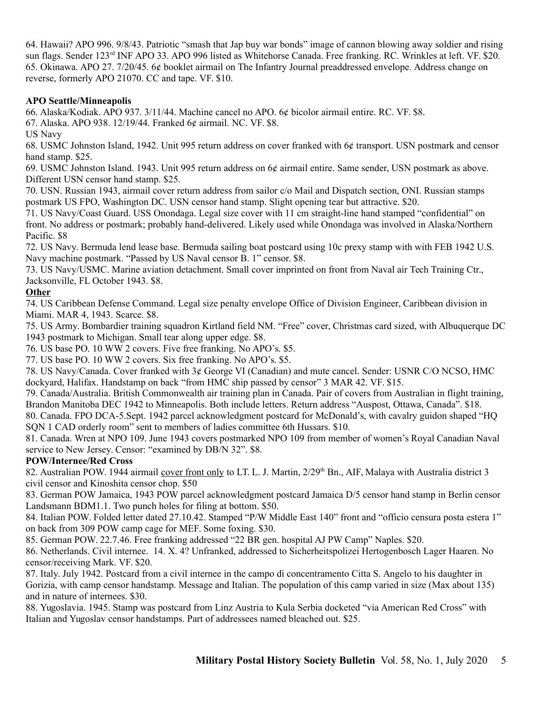64. Hawaii? APO 996. 9/8/43. Patriotic "smash that Jap buy war bonds" image of cannon blowing away soldier and rising sun flags. Sender 123<sup>rd</sup> INF APO 33. APO 996 listed as Whitehorse Canada. Free franking. RC. Wrinkles at left. VF. \$20. 65. Okinawa. APO 27. 7/20/45. 6¢ booklet airmail on The Infantry Journal preaddressed envelope. Address change on reverse, formerly APO 21070. CC and tape. VF. \$10.

#### **APO Seattle/Minneapolis**

66. Alaska/Kodiak. APO 937. 3/11/44. Machine cancel no APO. 6¢ bicolor airmail entire. RC. VF. \$8.

67. Alaska. APO 938. 12/19/44. Franked 6¢ airmail. NC. VF. \$8.

US Navy

68. USMC Johnston Island, 1942. Unit 995 return address on cover franked with 6¢ transport. USN postmark and censor hand stamp. \$25.

69. USMC Johnston Island. 1943. Unit 995 return address on 6¢ airmail entire. Same sender, USN postmark as above. Different USN censor hand stamp. \$25.

70. USN. Russian 1943, airmail cover return address from sailor c/o Mail and Dispatch section, ONI. Russian stamps postmark US FPO, Washington DC. USN censor hand stamp. Slight opening tear but attractive. \$20.

71. US Navy/Coast Guard. USS Onondaga. Legal size cover with 11 cm straight-line hand stamped "confidential" on front. No address or postmark; probably hand-delivered. Likely used while Onondaga was involved in Alaska/Northern Pacific. \$8

72. US Navy. Bermuda lend lease base. Bermuda sailing boat postcard using 10c prexy stamp with with FEB 1942 U.S. Navy machine postmark. "Passed by US Naval censor B. 1" censor. \$8.

73. US Navy/USMC. Marine aviation detachment. Small cover imprinted on front from Naval air Tech Training Ctr., Jacksonville, FL October 1943. \$8.

# **Other**

74. US Caribbean Defense Command. Legal size penalty envelope Office of Division Engineer, Caribbean division in Miami. MAR 4, 1943. Scarce. \$8.

75. US Army. Bombardier training squadron Kirtland field NM. "Free" cover, Christmas card sized, with Albuquerque DC 1943 postmark to Michigan. Small tear along upper edge. \$8.

76. US base PO. 10 WW 2 covers. Five free franking. No APO's. \$5.

77. US base PO. 10 WW 2 covers. Six free franking. No APO's. \$5.

78. US Navy/Canada. Cover franked with 3¢ George VI (Canadian) and mute cancel. Sender: USNR C/O NCSO, HMC dockyard, Halifax. Handstamp on back "from HMC ship passed by censor" 3 MAR 42. VF. \$15.

79. Canada/Australia. British Commonwealth air training plan in Canada. Pair of covers from Australian in flight training, Brandon Manitoba DEC 1942 to Minneapolis. Both include letters. Return address "Auspost, Ottawa, Canada". \$18.

80. Canada. FPO DCA-5.Sept. 1942 parcel acknowledgment postcard for McDonald's, with cavalry guidon shaped "HQ SQN 1 CAD orderly room" sent to members of ladies committee 6th Hussars. \$10.

81. Canada. Wren at NPO 109. June 1943 covers postmarked NPO 109 from member of women's Royal Canadian Naval service to New Jersey. Censor: "examined by DB/N 32". \$8.

# **POW/Internee/Red Cross**

82. Australian POW. 1944 airmail cover front only to LT. L. J. Martin, 2/29<sup>th</sup> Bn., AIF, Malaya with Australia district 3 civil censor and Kinoshita censor chop. \$50

83. German POW Jamaica, 1943 POW parcel acknowledgment postcard Jamaica D/5 censor hand stamp in Berlin censor Landsmann BDM1.1. Two punch holes for filing at bottom. \$50.

84. Italian POW. Folded letter dated 27.10.42. Stamped "P/W Middle East 140" front and "officio censura posta estera 1" on back from 309 POW camp cage for MEF. Some foxing. \$30.

85. German POW. 22.7.46. Free franking addressed "22 BR gen. hospital AJ PW Camp" Naples. \$20.

86. Netherlands. Civil internee. 14. X. 4? Unfranked, addressed to Sicherheitspolizei Hertogenbosch Lager Haaren. No censor/receiving Mark. VF. \$20.

87. Italy. July 1942. Postcard from a civil internee in the campo di concentramento Citta S. Angelo to his daughter in Gorizia, with camp censor handstamp. Message and Italian. The population of this camp varied in size (Max about 135) and in nature of internees. \$30.

88. Yugoslavia. 1945. Stamp was postcard from Linz Austria to Kula Serbia docketed "via American Red Cross" with Italian and Yugoslav censor handstamps. Part of addressees named bleached out. \$25.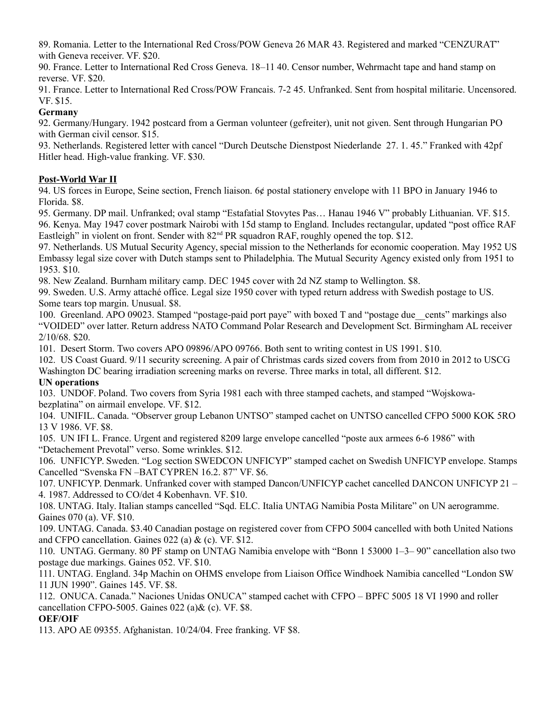89. Romania. Letter to the International Red Cross/POW Geneva 26 MAR 43. Registered and marked "CENZURAT" with Geneva receiver. VF. \$20.

90. France. Letter to International Red Cross Geneva. 18–11 40. Censor number, Wehrmacht tape and hand stamp on reverse. VF. \$20.

91. France. Letter to International Red Cross/POW Francais. 7-2 45. Unfranked. Sent from hospital militarie. Uncensored. VF. \$15.

# **Germany**

92. Germany/Hungary. 1942 postcard from a German volunteer (gefreiter), unit not given. Sent through Hungarian PO with German civil censor. \$15.

93. Netherlands. Registered letter with cancel "Durch Deutsche Dienstpost Niederlande 27. 1. 45." Franked with 42pf Hitler head. High-value franking. VF. \$30.

# **Post-World War II**

94. US forces in Europe, Seine section, French liaison. 6¢ postal stationery envelope with 11 BPO in January 1946 to Florida. \$8.

95. Germany. DP mail. Unfranked; oval stamp "Estafatial Stovytes Pas… Hanau 1946 V" probably Lithuanian. VF. \$15. 96. Kenya. May 1947 cover postmark Nairobi with 15d stamp to England. Includes rectangular, updated "post office RAF Eastleigh" in violent on front. Sender with  $82<sup>nd</sup> PR$  squadron RAF, roughly opened the top. \$12.

97. Netherlands. US Mutual Security Agency, special mission to the Netherlands for economic cooperation. May 1952 US Embassy legal size cover with Dutch stamps sent to Philadelphia. The Mutual Security Agency existed only from 1951 to 1953. \$10.

98. New Zealand. Burnham military camp. DEC 1945 cover with 2d NZ stamp to Wellington. \$8.

99. Sweden. U.S. Army attaché office. Legal size 1950 cover with typed return address with Swedish postage to US. Some tears top margin. Unusual. \$8.

100. Greenland. APO 09023. Stamped "postage-paid port paye" with boxed T and "postage due\_\_cents" markings also "VOIDED" over latter. Return address NATO Command Polar Research and Development Sct. Birmingham AL receiver 2/10/68. \$20.

101. Desert Storm. Two covers APO 09896/APO 09766. Both sent to writing contest in US 1991. \$10.

102. US Coast Guard. 9/11 security screening. A pair of Christmas cards sized covers from from 2010 in 2012 to USCG Washington DC bearing irradiation screening marks on reverse. Three marks in total, all different. \$12.

# **UN operations**

103. UNDOF. Poland. Two covers from Syria 1981 each with three stamped cachets, and stamped "Wojskowabezplatina" on airmail envelope. VF. \$12.

104. UNIFIL. Canada. "Observer group Lebanon UNTSO" stamped cachet on UNTSO cancelled CFPO 5000 KOK 5RO 13 V 1986. VF. \$8.

105. UN IFI L. France. Urgent and registered 8209 large envelope cancelled "poste aux armees 6-6 1986" with "Detachement Prevotal" verso. Some wrinkles. \$12.

106. UNFICYP. Sweden. "Log section SWEDCON UNFICYP" stamped cachet on Swedish UNFICYP envelope. Stamps Cancelled "Svenska FN –BAT CYPREN 16.2. 87" VF. \$6.

107. UNFICYP. Denmark. Unfranked cover with stamped Dancon/UNFICYP cachet cancelled DANCON UNFICYP 21 – 4. 1987. Addressed to CO/det 4 Kobenhavn. VF. \$10.

108. UNTAG. Italy. Italian stamps cancelled "Sqd. ELC. Italia UNTAG Namibia Posta Militare" on UN aerogramme. Gaines 070 (a). VF. \$10.

109. UNTAG. Canada. \$3.40 Canadian postage on registered cover from CFPO 5004 cancelled with both United Nations and CFPO cancellation. Gaines 022 (a) & (c). VF. \$12.

110. UNTAG. Germany. 80 PF stamp on UNTAG Namibia envelope with "Bonn 1 53000 1–3– 90" cancellation also two postage due markings. Gaines 052. VF. \$10.

111. UNTAG. England. 34p Machin on OHMS envelope from Liaison Office Windhoek Namibia cancelled "London SW 11 JUN 1990". Gaines 145. VF. \$8.

112. ONUCA. Canada." Naciones Unidas ONUCA" stamped cachet with CFPO – BPFC 5005 18 VI 1990 and roller cancellation CFPO-5005. Gaines 022 (a)& (c). VF. \$8.

# **OEF/OIF**

113. APO AE 09355. Afghanistan. 10/24/04. Free franking. VF \$8.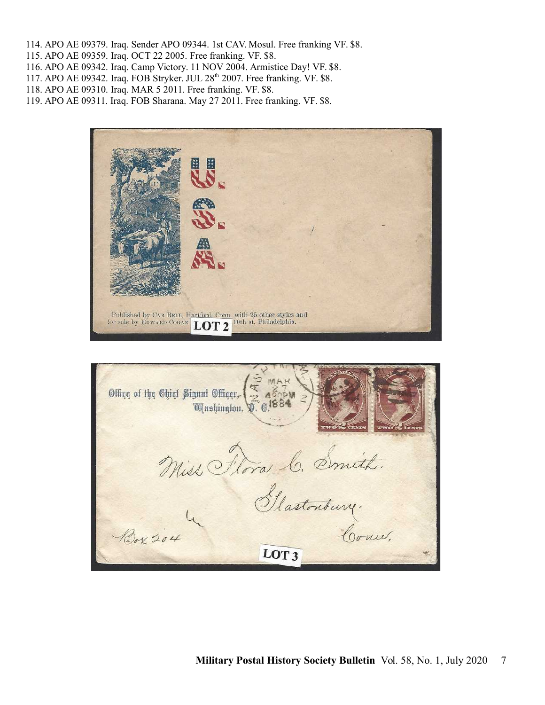- 114. APO AE 09379. Iraq. Sender APO 09344. 1st CAV. Mosul. Free franking VF. \$8.
- 115. APO AE 09359. Iraq. OCT 22 2005. Free franking. VF. \$8.
- 116. APO AE 09342. Iraq. Camp Victory. 11 NOV 2004. Armistice Day! VF. \$8.
- 117. APO AE 09342. Iraq. FOB Stryker. JUL 28<sup>th</sup> 2007. Free franking. VF. \$8.
- 118. APO AE 09310. Iraq. MAR 5 2011. Free franking. VF. \$8.
- 119. APO AE 09311. Iraq. FOB Sharana. May 27 2011. Free franking. VF. \$8.



| Offiqe of the Chief Signal Offiqer, <b>12 487PN</b><br>Equishington, <b>12 6.1884</b> |
|---------------------------------------------------------------------------------------|
| Miss Flora C. Smith.                                                                  |
| Glastonbury.<br>Box 204<br>Court.                                                     |
| $\overline{\text{LOT3}}$                                                              |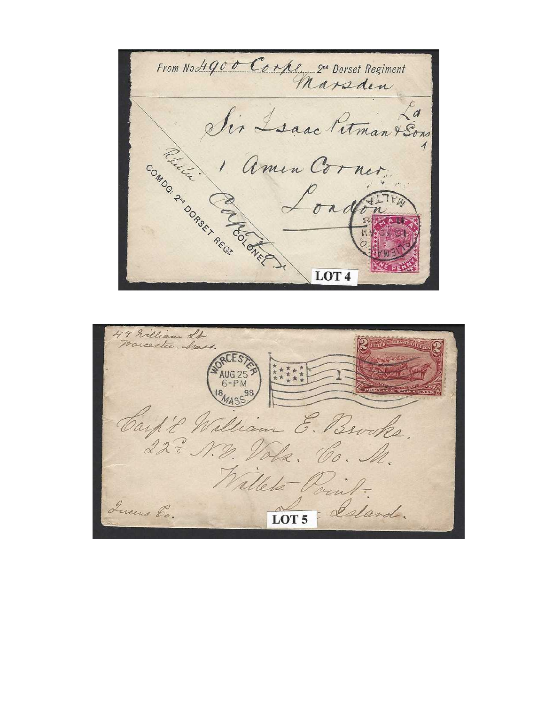From No Hgoo Corpe 2nd Dorset Regiment Sir Isaac Petman Psons Proctect COMOG. 2NN DORSEY REGIS Polarence Condon LOT<sub>4</sub>

49 William LA. UG 24 Carp't William E. Brooks. 22 = N.D. Vola. Co. M. Willet Point. Queens Ec. LOT<sub>5</sub> deland.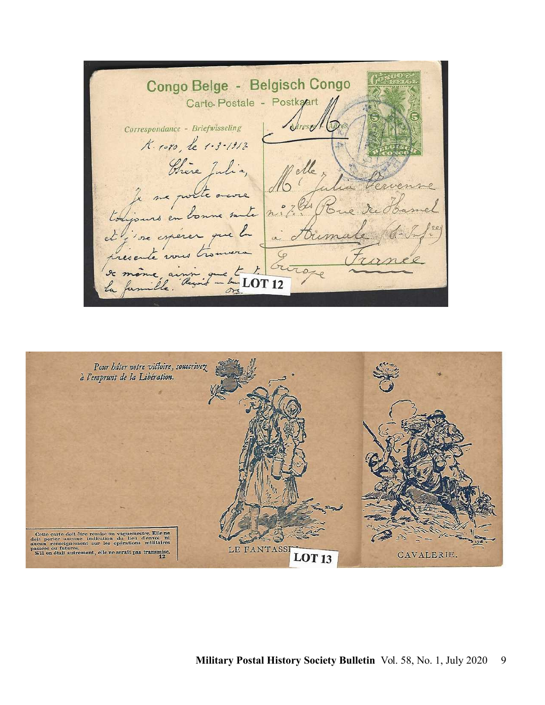Congo Belge - Belgisch Congo Carte Postale - Postkart Correspondance - Briefwisseling K. 1080, le 1-3-1912 Chère Julia, te an **LOT 12** 

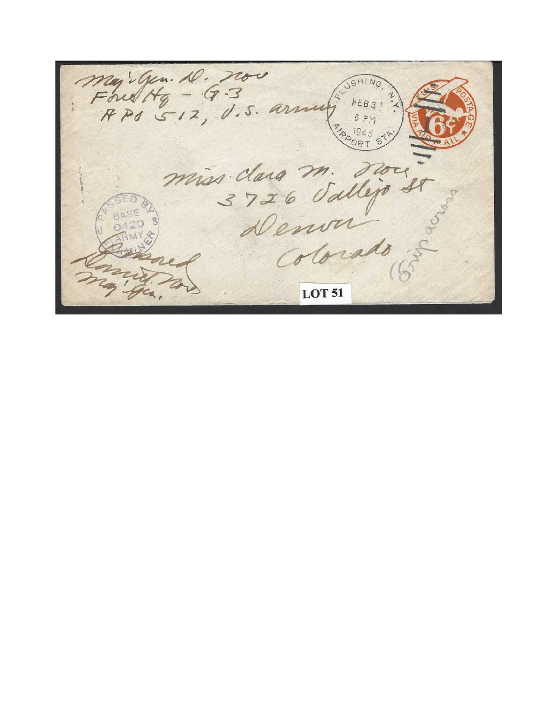Majigen D. nov<br>Fourty - G.3<br>RPS 512, U.S. arm  $hEB31$ miss clara m. 000 3726 Sallijo dr **LOT 51**